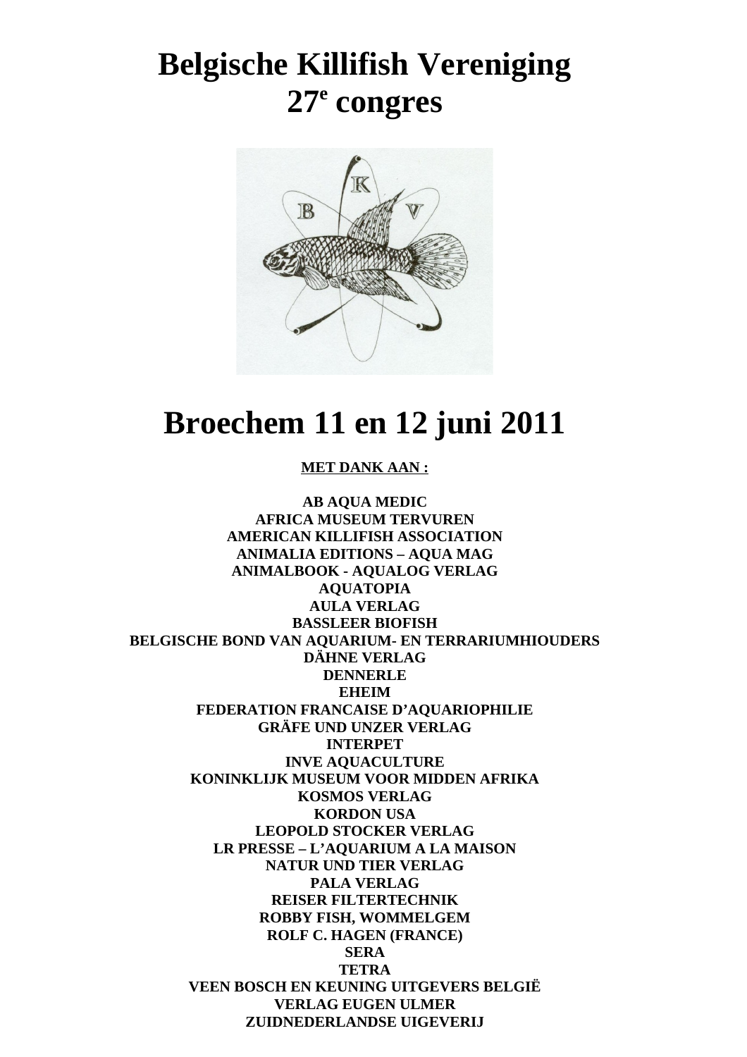# **Belgische Killifish Vereniging 27 e congres**



# **Broechem 11 en 12 juni 2011**

#### **MET DANK AAN :**

**AB AQUA MEDIC AFRICA MUSEUM TERVUREN AMERICAN KILLIFISH ASSOCIATION ANIMALIA EDITIONS – AQUA MAG ANIMALBOOK - AQUALOG VERLAG AQUATOPIA AULA VERLAG BASSLEER BIOFISH BELGISCHE BOND VAN AQUARIUM- EN TERRARIUMHIOUDERS DÄHNE VERLAG DENNERLE EHEIM FEDERATION FRANCAISE D'AQUARIOPHILIE GRÄFE UND UNZER VERLAG INTERPET INVE AQUACULTURE KONINKLIJK MUSEUM VOOR MIDDEN AFRIKA KOSMOS VERLAG KORDON USA LEOPOLD STOCKER VERLAG LR PRESSE – L'AQUARIUM A LA MAISON NATUR UND TIER VERLAG PALA VERLAG REISER FILTERTECHNIK ROBBY FISH, WOMMELGEM ROLF C. HAGEN (FRANCE) SERA TETRA VEEN BOSCH EN KEUNING UITGEVERS BELGIË VERLAG EUGEN ULMER ZUIDNEDERLANDSE UIGEVERIJ**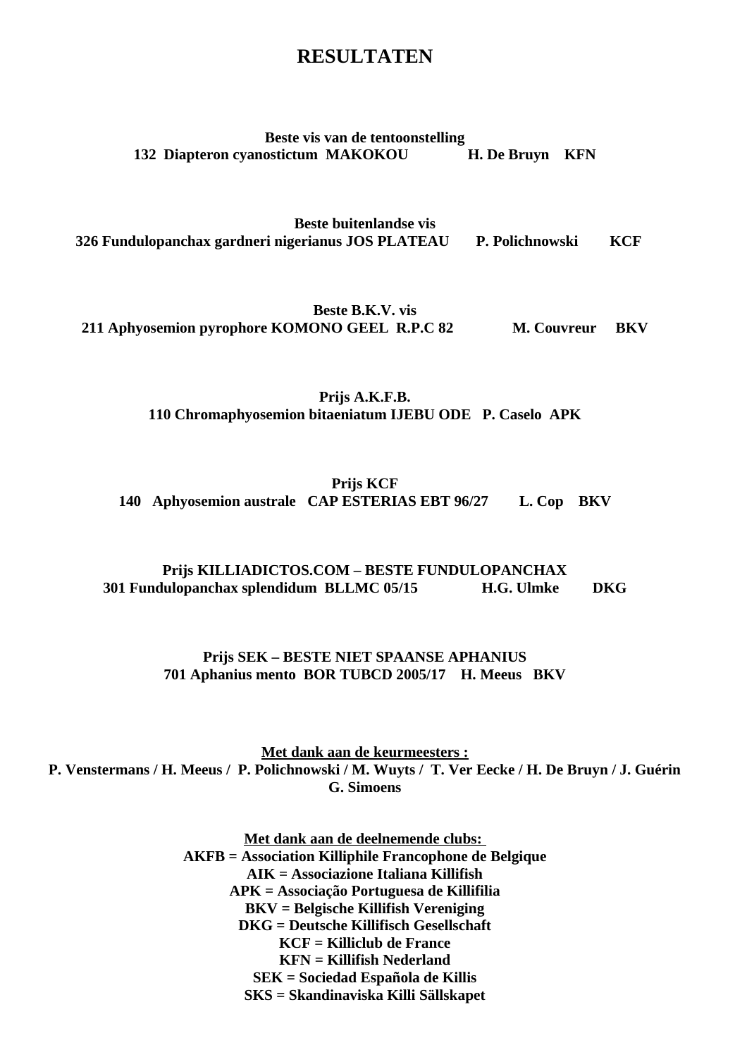#### **RESULTATEN**

#### **Beste vis van de tentoonstelling 132 Diapteron cyanostictum MAKOKOU H. De Bruyn KFN**

**Beste buitenlandse vis 326 Fundulopanchax gardneri nigerianus JOS PLATEAU P. Polichnowski KCF**

**Beste B.K.V. vis 211 Aphyosemion pyrophore KOMONO GEEL R.P.C 82 M. Couvreur BKV**

> **Prijs A.K.F.B. 110 Chromaphyosemion bitaeniatum IJEBU ODE P. Caselo APK**

**Prijs KCF 140 Aphyosemion australe CAP ESTERIAS EBT 96/27 L. Cop BKV**

#### **Prijs KILLIADICTOS.COM – BESTE FUNDULOPANCHAX 301 Fundulopanchax splendidum BLLMC 05/15 H.G. Ulmke DKG**

#### **Prijs SEK – BESTE NIET SPAANSE APHANIUS 701 Aphanius mento BOR TUBCD 2005/17 H. Meeus BKV**

 **Met dank aan de keurmeesters : P. Venstermans / H. Meeus / P. Polichnowski / M. Wuyts / T. Ver Eecke / H. De Bruyn / J. Guérin G. Simoens**

> **Met dank aan de deelnemende clubs: AKFB = Association Killiphile Francophone de Belgique AIK = Associazione Italiana Killifish APK = Associação Portuguesa de Killifilia BKV = Belgische Killifish Vereniging DKG = Deutsche Killifisch Gesellschaft KCF = Killiclub de France KFN = Killifish Nederland SEK = Sociedad Española de Killis SKS = Skandinaviska Killi Sällskapet**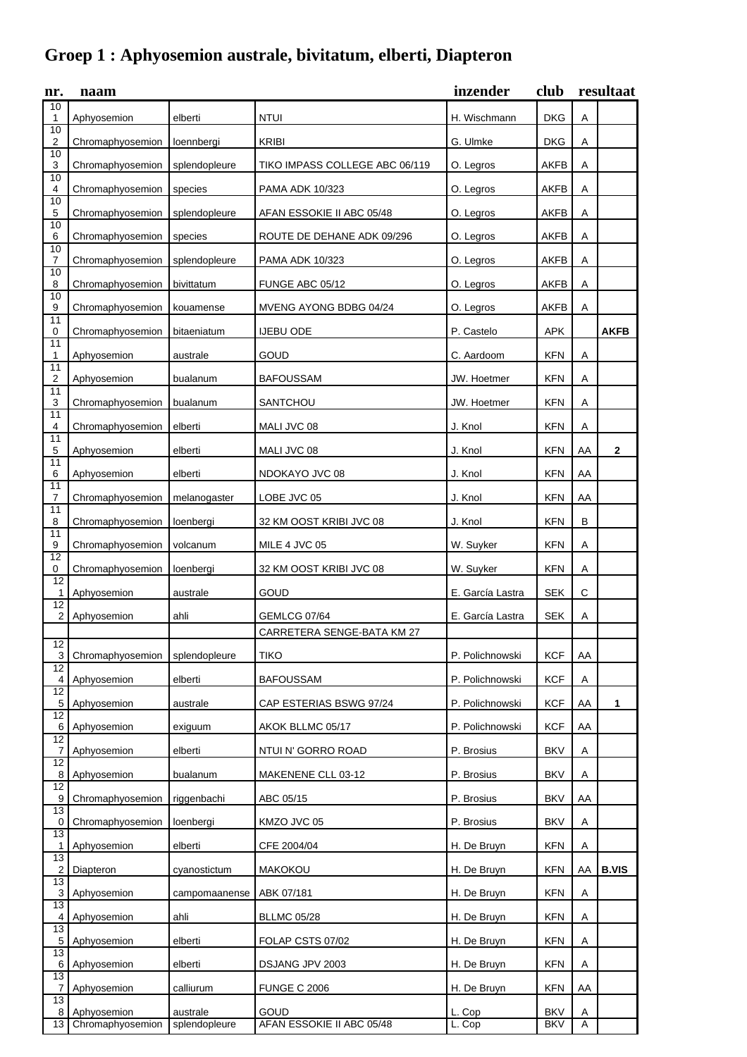## **Groep 1 : Aphyosemion australe, bivitatum, elberti, Diapteron**

| nr.                  | naam             |               |                                | inzender         | club        | resultaat    |              |
|----------------------|------------------|---------------|--------------------------------|------------------|-------------|--------------|--------------|
| 10<br>1              | Aphyosemion      | elberti       | <b>NTUI</b>                    | H. Wischmann     | <b>DKG</b>  | A            |              |
| 10<br>2              | Chromaphyosemion | loennbergi    | <b>KRIBI</b>                   | G. Ulmke         | <b>DKG</b>  | Α            |              |
| 10<br>3              | Chromaphyosemion | splendopleure | TIKO IMPASS COLLEGE ABC 06/119 | O. Legros        | <b>AKFB</b> | Α            |              |
| $\overline{10}$<br>4 | Chromaphyosemion | species       | PAMA ADK 10/323                | O. Legros        | <b>AKFB</b> | Α            |              |
| 10<br>5              | Chromaphyosemion | splendopleure | AFAN ESSOKIE II ABC 05/48      | O. Legros        | <b>AKFB</b> | Α            |              |
| 10<br>6              | Chromaphyosemion | species       | ROUTE DE DEHANE ADK 09/296     | O. Legros        | <b>AKFB</b> | Α            |              |
| $\overline{10}$<br>7 | Chromaphyosemion | splendopleure | <b>PAMA ADK 10/323</b>         | O. Legros        | <b>AKFB</b> | Α            |              |
| 10<br>8              | Chromaphyosemion | bivittatum    | FUNGE ABC 05/12                | O. Legros        | <b>AKFB</b> | Α            |              |
| 10<br>9              | Chromaphyosemion | kouamense     | MVENG AYONG BDBG 04/24         | O. Legros        | <b>AKFB</b> | Α            |              |
| 11<br>0              | Chromaphyosemion | bitaeniatum   | <b>IJEBU ODE</b>               | P. Castelo       | <b>APK</b>  |              | <b>AKFB</b>  |
| 11<br>$\mathbf{1}$   | Aphyosemion      | australe      | GOUD                           | C. Aardoom       | <b>KFN</b>  | Α            |              |
| 11<br>2              | Aphyosemion      | bualanum      | <b>BAFOUSSAM</b>               | JW. Hoetmer      | <b>KFN</b>  | Α            |              |
| 11<br>3              | Chromaphyosemion | bualanum      | <b>SANTCHOU</b>                | JW. Hoetmer      | <b>KFN</b>  | Α            |              |
| 11<br>4              | Chromaphyosemion | elberti       | MALI JVC 08                    | J. Knol          | <b>KFN</b>  | Α            |              |
| 11<br>5              | Aphyosemion      | elberti       | MALI JVC 08                    | J. Knol          | <b>KFN</b>  | AA           | $\mathbf{2}$ |
| 11<br>6              | Aphyosemion      | elberti       | NDOKAYO JVC 08                 | J. Knol          | <b>KFN</b>  | AA           |              |
| 11<br>7              | Chromaphyosemion | melanogaster  | LOBE JVC 05                    | J. Knol          | <b>KFN</b>  | AA           |              |
| 11<br>8              | Chromaphyosemion | loenbergi     | 32 KM OOST KRIBI JVC 08        | J. Knol          | <b>KFN</b>  | В            |              |
| $\overline{11}$<br>9 | Chromaphyosemion | volcanum      | MILE 4 JVC 05                  | W. Suyker        | <b>KFN</b>  | Α            |              |
| 12<br>0              | Chromaphyosemion | loenbergi     | 32 KM OOST KRIBI JVC 08        | W. Suyker        | <b>KFN</b>  | A            |              |
| $\overline{12}$<br>1 | Aphyosemion      | australe      | GOUD                           | E. García Lastra | <b>SEK</b>  | $\mathsf{C}$ |              |
| 12<br>2              | Aphyosemion      | ahli          | <b>GEMLCG 07/64</b>            | E. García Lastra | <b>SEK</b>  | Α            |              |
| $\overline{12}$      |                  |               | CARRETERA SENGE-BATA KM 27     |                  |             |              |              |
| 3                    | Chromaphyosemion | splendopleure | <b>TIKO</b>                    | P. Polichnowski  | <b>KCF</b>  | AA           |              |
| 12<br>4              | Aphyosemion      | elberti       | <b>BAFOUSSAM</b>               | P. Polichnowski  | <b>KCF</b>  | Α            |              |
| $\overline{12}$<br>5 | Aphyosemion      | australe      | CAP ESTERIAS BSWG 97/24        | P. Polichnowski  | <b>KCF</b>  | AA           | 1            |
| 12<br>6              | Aphyosemion      | exiguum       | AKOK BLLMC 05/17               | P. Polichnowski  | <b>KCF</b>  | AA           |              |
| 12<br>7              | Aphyosemion      | elberti       | NTUI N' GORRO ROAD             | P. Brosius       | <b>BKV</b>  | Α            |              |
| 12<br>8              | Aphyosemion      | bualanum      | MAKENENE CLL 03-12             | P. Brosius       | <b>BKV</b>  | Α            |              |
| 12<br>9              | Chromaphyosemion | riggenbachi   | ABC 05/15                      | P. Brosius       | <b>BKV</b>  | AA           |              |
| $\overline{13}$<br>0 | Chromaphyosemion | loenbergi     | KMZO JVC 05                    | P. Brosius       | <b>BKV</b>  | Α            |              |
| 13<br>1              | Aphyosemion      | elberti       | CFE 2004/04                    | H. De Bruyn      | <b>KFN</b>  | Α            |              |
| $\overline{13}$<br>2 | Diapteron        | cyanostictum  | <b>MAKOKOU</b>                 | H. De Bruyn      | <b>KFN</b>  | AA           | <b>B.VIS</b> |
| 13<br>$\overline{3}$ | Aphyosemion      | campomaanense | ABK 07/181                     | H. De Bruyn      | <b>KFN</b>  | Α            |              |
| 13<br>4              | Aphyosemion      | ahli          | <b>BLLMC 05/28</b>             | H. De Bruyn      | <b>KFN</b>  | Α            |              |
| $\overline{13}$<br>5 | Aphyosemion      | elberti       | FOLAP CSTS 07/02               | H. De Bruyn      | <b>KFN</b>  | Α            |              |
| 13<br>6              | Aphyosemion      | elberti       | DSJANG JPV 2003                | H. De Bruyn      | <b>KFN</b>  | Α            |              |
| 13<br>7              | Aphyosemion      | calliurum     | <b>FUNGE C 2006</b>            | H. De Bruyn      | <b>KFN</b>  | AA           |              |
| $\overline{13}$<br>8 | Aphyosemion      | australe      | GOUD                           | L. Cop           | <b>BKV</b>  | A            |              |
| 13                   | Chromaphyosemion | splendopleure | AFAN ESSOKIE II ABC 05/48      | L. Cop           | <b>BKV</b>  | A            |              |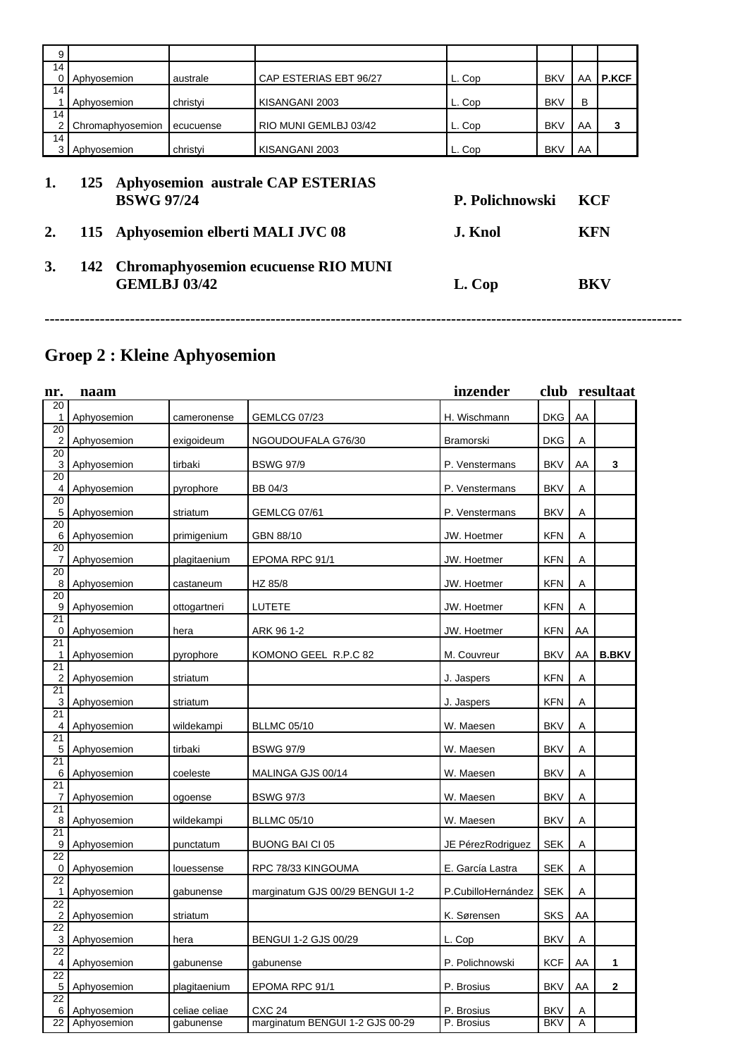| 9       |                                                                                                       |           |                        |        |            |    |              |  |  |  |
|---------|-------------------------------------------------------------------------------------------------------|-----------|------------------------|--------|------------|----|--------------|--|--|--|
| 14      |                                                                                                       |           |                        |        |            |    |              |  |  |  |
|         | Aphyosemion                                                                                           | australe  | CAP ESTERIAS EBT 96/27 | L. Cop | <b>BKV</b> | AA | <b>P.KCF</b> |  |  |  |
| 14      | Aphyosemion                                                                                           | christvi  | KISANGANI 2003         | L. Cop | <b>BKV</b> | B  |              |  |  |  |
| 14      | Chromaphyosemion                                                                                      | ecucuense | RIO MUNI GEMLBJ 03/42  | L. Cop | <b>BKV</b> | AA | 3            |  |  |  |
| 14<br>3 | Aphyosemion                                                                                           | christyi  | KISANGANI 2003         | L. Cop | <b>BKV</b> | AA |              |  |  |  |
|         | <b>Aphyosemion australe CAP ESTERIAS</b><br>125<br><b>BSWG 97/24</b><br>P. Polichnowski<br><b>KCF</b> |           |                        |        |            |    |              |  |  |  |

- **3. 142 Chromaphyosemion ecucuense RIO MUNI**
- **2. 115 Aphyosemion elberti MALI JVC 08 J. Knol KFN GEMLBJ 03/42 L. Cop BKV**

**-------------------------------------------------------------------------------------------------------------------------------**

## **Groep 2 : Kleine Aphyosemion**

| nr.            | naam        |               |                                 | inzender           |            |    | club resultaat |
|----------------|-------------|---------------|---------------------------------|--------------------|------------|----|----------------|
| 20<br>1        |             |               |                                 | H. Wischmann       | <b>DKG</b> | AA |                |
| 20             | Aphyosemion | cameronense   | <b>GEMLCG 07/23</b>             |                    |            |    |                |
| $\overline{c}$ | Aphyosemion | exigoideum    | NGOUDOUFALA G76/30              | Bramorski          | <b>DKG</b> | Α  |                |
| 20<br>3        |             |               | <b>BSWG 97/9</b>                |                    | <b>BKV</b> | AA | 3              |
| 20             | Aphyosemion | tirbaki       |                                 | P. Venstermans     |            |    |                |
| 4              | Aphyosemion | pyrophore     | <b>BB 04/3</b>                  | P. Venstermans     | <b>BKV</b> | Α  |                |
| 20<br>5        | Aphyosemion | striatum      | <b>GEMLCG 07/61</b>             | P. Venstermans     | <b>BKV</b> | Α  |                |
| 20             |             |               |                                 |                    |            |    |                |
| 6              | Aphyosemion | primigenium   | GBN 88/10                       | JW. Hoetmer        | <b>KFN</b> | Α  |                |
| 20<br>7        | Aphyosemion | plagitaenium  | EPOMA RPC 91/1                  | JW. Hoetmer        | <b>KFN</b> | Α  |                |
| 20             |             |               |                                 |                    |            |    |                |
| 8              | Aphyosemion | castaneum     | HZ 85/8                         | JW. Hoetmer        | <b>KFN</b> | Α  |                |
| 20<br>9        | Aphyosemion |               | LUTETE                          | JW. Hoetmer        | <b>KFN</b> | Α  |                |
| 21             |             | ottogartneri  |                                 |                    |            |    |                |
| 0              | Aphyosemion | hera          | ARK 96 1-2                      | JW. Hoetmer        | <b>KFN</b> | AA |                |
| 21             |             |               |                                 |                    |            | AA | <b>B.BKV</b>   |
| 1<br>21        | Aphyosemion | pyrophore     | KOMONO GEEL R.P.C 82            | M. Couvreur        | <b>BKV</b> |    |                |
| $\overline{c}$ | Aphyosemion | striatum      |                                 | J. Jaspers         | <b>KFN</b> | Α  |                |
| 21             |             |               |                                 |                    | <b>KFN</b> |    |                |
| 3<br>21        | Aphyosemion | striatum      |                                 | J. Jaspers         |            | Α  |                |
| 4              | Aphyosemion | wildekampi    | <b>BLLMC 05/10</b>              | W. Maesen          | <b>BKV</b> | Α  |                |
| 21             |             |               |                                 |                    |            |    |                |
| 5<br>21        | Aphyosemion | tirbaki       | <b>BSWG 97/9</b>                | W. Maesen          | <b>BKV</b> | Α  |                |
| 6              | Aphyosemion | coeleste      | MALINGA GJS 00/14               | W. Maesen          | <b>BKV</b> | Α  |                |
| 21             |             |               |                                 |                    |            |    |                |
| 7<br>21        | Aphyosemion | ogoense       | <b>BSWG 97/3</b>                | W. Maesen          | <b>BKV</b> | Α  |                |
| 8              | Aphyosemion | wildekampi    | <b>BLLMC 05/10</b>              | W. Maesen          | <b>BKV</b> | Α  |                |
| 21             |             |               |                                 |                    |            |    |                |
| 9<br>22        | Aphyosemion | punctatum     | <b>BUONG BAI CI 05</b>          | JE PérezRodriguez  | <b>SEK</b> | Α  |                |
| 0              | Aphyosemion | louessense    | RPC 78/33 KINGOUMA              | E. García Lastra   | <b>SEK</b> | Α  |                |
| 22             |             |               |                                 |                    |            |    |                |
| 1<br>22        | Aphyosemion | gabunense     | marginatum GJS 00/29 BENGUI 1-2 | P.CubilloHernández | <b>SEK</b> | Α  |                |
| 2              | Aphyosemion | striatum      |                                 | K. Sørensen        | <b>SKS</b> | AA |                |
| 22             |             |               |                                 |                    |            |    |                |
| 3<br>22        | Aphyosemion | hera          | BENGUI 1-2 GJS 00/29            | L. Cop             | <b>BKV</b> | Α  |                |
| 4              | Aphyosemion | gabunense     | gabunense                       | P. Polichnowski    | <b>KCF</b> | AA | 1              |
| 22             |             |               |                                 |                    |            |    |                |
| 5<br>22        | Aphyosemion | plagitaenium  | EPOMA RPC 91/1                  | P. Brosius         | <b>BKV</b> | AA | $\mathbf{2}$   |
| 6              | Aphyosemion | celiae celiae | <b>CXC 24</b>                   | P. Brosius         | <b>BKV</b> | Α  |                |
| 22             | Aphyosemion | gabunense     | marginatum BENGUI 1-2 GJS 00-29 | P. Brosius         | <b>BKV</b> | Α  |                |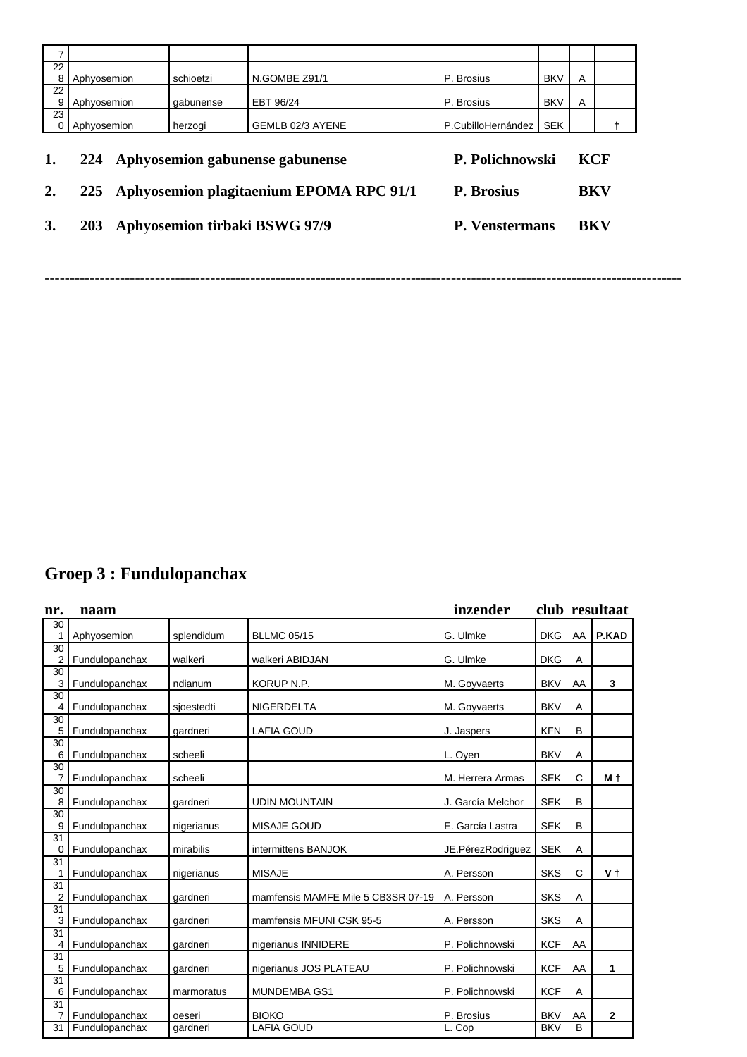| 22<br>8 | Aphyosemion                            |  | schioetzi | N.GOMBE Z91/1                           | P. Brosius               | <b>BKV</b> | A          |  |
|---------|----------------------------------------|--|-----------|-----------------------------------------|--------------------------|------------|------------|--|
| 22<br>9 | Aphyosemion<br>gabunense               |  |           | EBT 96/24                               | P. Brosius               | <b>BKV</b> | A          |  |
| 23      | Aphyosemion                            |  | herzogi   | GEMLB 02/3 AYENE                        | P.CubilloHernández   SEK |            |            |  |
| 1.      | Aphyosemion gabunense gabunense<br>224 |  |           | P. Polichnowski                         |                          |            | <b>KCF</b> |  |
| 2.      | <b>225</b>                             |  |           | Aphyosemion plagitaenium EPOMA RPC 91/1 | P. Brosius               |            | <b>BKV</b> |  |
| 3.      | Aphyosemion tirbaki BSWG 97/9<br>203   |  |           | <b>P. Venstermans</b>                   |                          | BKV        |            |  |

-------------------------------------------------------------------------------------------------------------------------------

## **Groep 3 : Fundulopanchax**

| nr.                  | naam           |            |                                    | inzender          |            |              | club resultaat |
|----------------------|----------------|------------|------------------------------------|-------------------|------------|--------------|----------------|
| 30                   |                |            |                                    |                   |            |              |                |
| 1<br>30              | Aphyosemion    | splendidum | <b>BLLMC 05/15</b>                 | G. Ulmke          | <b>DKG</b> | AA           | P.KAD          |
| $\overline{2}$       | Fundulopanchax | walkeri    | walkeri ABIDJAN                    | G. Ulmke          | <b>DKG</b> | Α            |                |
| 30<br>3              | Fundulopanchax | ndianum    | KORUP N.P.                         | M. Goyvaerts      | <b>BKV</b> | AA           | 3              |
| 30                   |                |            |                                    |                   |            |              |                |
| $\overline{4}$       | Fundulopanchax | sjoestedti | NIGERDELTA                         | M. Goyvaerts      | <b>BKV</b> | Α            |                |
| 30<br>5              | Fundulopanchax | qardneri   | <b>LAFIA GOUD</b>                  | J. Jaspers        | <b>KFN</b> | B            |                |
| 30                   |                |            |                                    |                   |            |              |                |
| 6                    | Fundulopanchax | scheeli    |                                    | L. Oyen           | <b>BKV</b> | Α            |                |
| $\overline{30}$<br>7 | Fundulopanchax | scheeli    |                                    | M. Herrera Armas  | <b>SEK</b> | $\mathsf{C}$ | M t            |
| 30                   |                |            |                                    |                   |            |              |                |
| 8                    | Fundulopanchax | gardneri   | <b>UDIN MOUNTAIN</b>               | J. García Melchor | <b>SEK</b> | B            |                |
| 30                   |                |            |                                    |                   |            |              |                |
| 9                    | Fundulopanchax | nigerianus | MISAJE GOUD                        | E. García Lastra  | <b>SEK</b> | B            |                |
| 31<br>0              | Fundulopanchax | mirabilis  | intermittens BANJOK                | JE.PérezRodriguez | <b>SEK</b> | Α            |                |
| 31                   |                |            |                                    |                   | <b>SKS</b> | $\mathsf{C}$ | V t            |
| 1<br>31              | Fundulopanchax | nigerianus | <b>MISAJE</b>                      | A. Persson        |            |              |                |
| $\overline{c}$       | Fundulopanchax | gardneri   | mamfensis MAMFE Mile 5 CB3SR 07-19 | A. Persson        | <b>SKS</b> | Α            |                |
| 31<br>3              | Fundulopanchax | gardneri   | mamfensis MFUNI CSK 95-5           | A. Persson        | <b>SKS</b> | A            |                |
| 31                   |                |            |                                    |                   |            |              |                |
| 4                    | Fundulopanchax | qardneri   | nigerianus INNIDERE                | P. Polichnowski   | <b>KCF</b> | AA           |                |
| 31                   |                |            |                                    |                   |            |              |                |
| 5                    | Fundulopanchax | qardneri   | nigerianus JOS PLATEAU             | P. Polichnowski   | <b>KCF</b> | AA           | 1              |
| 31<br>6              | Fundulopanchax | marmoratus | MUNDEMBA GS1                       | P. Polichnowski   | <b>KCF</b> | Α            |                |
| $\overline{31}$      |                |            |                                    |                   |            |              |                |
| 7                    | Fundulopanchax | oeseri     | <b>BIOKO</b>                       | P. Brosius        | <b>BKV</b> | AA           | $\mathbf{2}$   |
| 31                   | Fundulopanchax | qardneri   | <b>LAFIA GOUD</b>                  | L. Cop            | <b>BKV</b> | B            |                |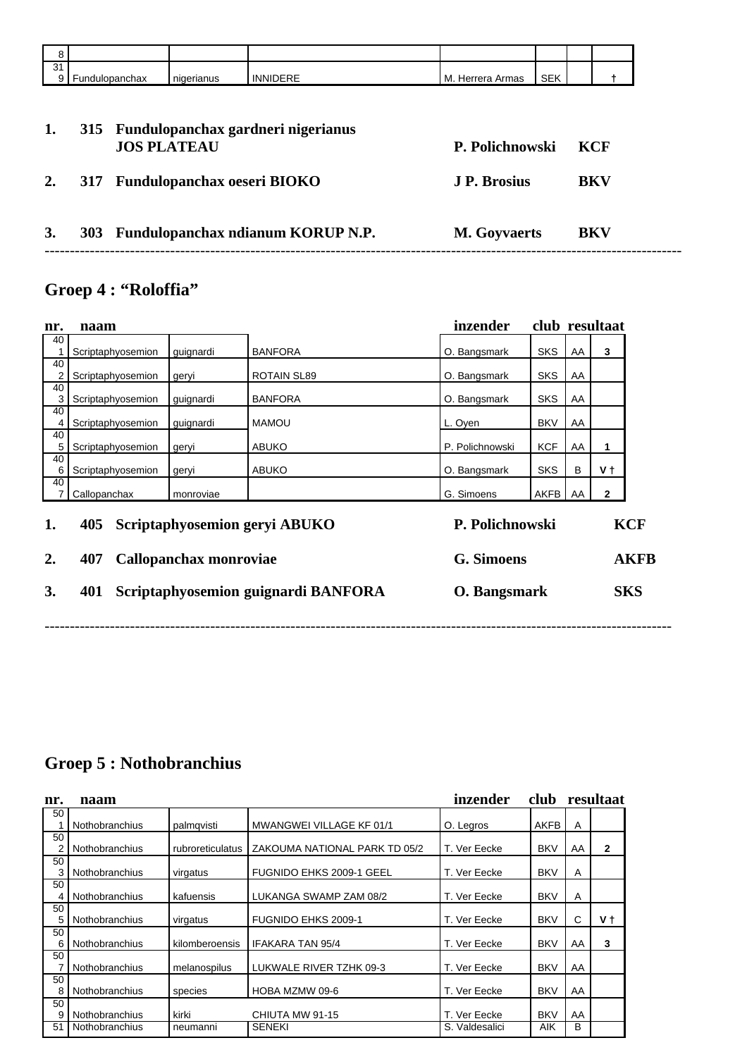| O       |                |            |                 |                  |            |  |
|---------|----------------|------------|-----------------|------------------|------------|--|
| 31<br>a | Fundulopanchax | nigerianus | <b>INNIDERE</b> | M. Herrera Armas | <b>SEK</b> |  |
|         |                |            |                 |                  |            |  |

| 1. | 315 Fundulopanchax gardneri nigerianus<br><b>JOS PLATEAU</b> | P. Polichnowski     | – KCF      |
|----|--------------------------------------------------------------|---------------------|------------|
| 2. | 317 Fundulopanchax oeseri BIOKO                              | J. P. Brosius       | BKV        |
| 3. | 303 Fundulopanchax ndianum KORUP N.P.                        | <b>M.</b> Goyvaerts | <b>BKV</b> |

## **Groep 4 : "Roloffia"**

| nr.      | naam                                                                  |           |                                     | inzender                             |            |            | club resultaat |                           |
|----------|-----------------------------------------------------------------------|-----------|-------------------------------------|--------------------------------------|------------|------------|----------------|---------------------------|
| 40       | Scriptaphyosemion                                                     | guignardi | <b>BANFORA</b>                      | O. Bangsmark                         | <b>SKS</b> | AA         | 3              |                           |
| 40<br>2  | Scriptaphyosemion                                                     | geryi     | ROTAIN SL89                         | O. Bangsmark                         | <b>SKS</b> | AA         |                |                           |
| 40<br>3  | Scriptaphyosemion                                                     | guignardi | <b>BANFORA</b>                      | O. Bangsmark                         | <b>SKS</b> | AA         |                |                           |
| 40<br>4  | Scriptaphyosemion                                                     | guignardi | <b>MAMOU</b>                        | L. Oyen                              | <b>BKV</b> | AA         |                |                           |
| 40<br>5  | Scriptaphyosemion                                                     | geryi     | <b>ABUKO</b>                        | P. Polichnowski                      | <b>KCF</b> | AA         | 1              |                           |
| 40<br>6  | Scriptaphyosemion                                                     | geryi     | <b>ABUKO</b>                        | O. Bangsmark                         | <b>SKS</b> | B          | V t            |                           |
| 40<br>7  | Callopanchax                                                          | monroviae |                                     | G. Simoens                           | AKFB       | AA         | $\mathbf{2}$   |                           |
| 1.<br>2. | Scriptaphyosemion geryi ABUKO<br>405<br>Callopanchax monroviae<br>407 |           |                                     | P. Polichnowski<br><b>G.</b> Simoens |            |            |                | <b>KCF</b><br><b>AKFB</b> |
| 3.       | 401                                                                   |           | Scriptaphyosemion guignardi BANFORA | O. Bangsmark                         |            | <b>SKS</b> |                |                           |
|          |                                                                       |           |                                     |                                      |            |            |                |                           |

## **Groep 5 : Nothobranchius**

| nr. | naam                  |                  |                               | inzender       | club       |     | resultaat |
|-----|-----------------------|------------------|-------------------------------|----------------|------------|-----|-----------|
| 50  |                       |                  |                               |                |            |     |           |
|     | <b>Nothobranchius</b> | palmqvisti       | MWANGWEI VILLAGE KF 01/1      | O. Legros      | AKFB       | A   |           |
| 50  |                       |                  |                               |                |            |     |           |
|     | <b>Nothobranchius</b> | rubroreticulatus | ZAKOUMA NATIONAL PARK TD 05/2 | T. Ver Eecke   | <b>BKV</b> | AA  | 2         |
| 50  |                       |                  |                               |                |            |     |           |
| 3   | <b>Nothobranchius</b> | virgatus         | FUGNIDO EHKS 2009-1 GEEL      | T. Ver Eecke   | <b>BKV</b> | A   |           |
| 50  |                       |                  |                               |                |            |     |           |
| 4   | <b>Nothobranchius</b> | kafuensis        | LUKANGA SWAMP ZAM 08/2        | T. Ver Eecke   | <b>BKV</b> | A   |           |
| 50  |                       |                  |                               |                |            |     |           |
| 5   | <b>Nothobranchius</b> | virgatus         | <b>FUGNIDO EHKS 2009-1</b>    | T. Ver Eecke   | <b>BKV</b> | C   | V t       |
| 50  |                       |                  |                               |                |            |     |           |
| 6   | <b>Nothobranchius</b> | kilomberoensis   | <b>IFAKARA TAN 95/4</b>       | T. Ver Eecke   | <b>BKV</b> | AA  | 3         |
| 50  |                       |                  |                               |                |            |     |           |
|     | <b>Nothobranchius</b> | melanospilus     | LUKWALE RIVER TZHK 09-3       | T. Ver Eecke   | <b>BKV</b> | AA. |           |
| 50  |                       |                  |                               |                |            |     |           |
| 8   | <b>Nothobranchius</b> | species          | HOBA MZMW 09-6                | T. Ver Eecke   | <b>BKV</b> | AA  |           |
| 50  |                       |                  |                               |                |            |     |           |
| 9   | <b>Nothobranchius</b> | kirki            | CHIUTA MW 91-15               | T. Ver Eecke   | <b>BKV</b> | AA  |           |
| 51  | <b>Nothobranchius</b> | neumanni         | <b>SENEKI</b>                 | S. Valdesalici | <b>AIK</b> | B   |           |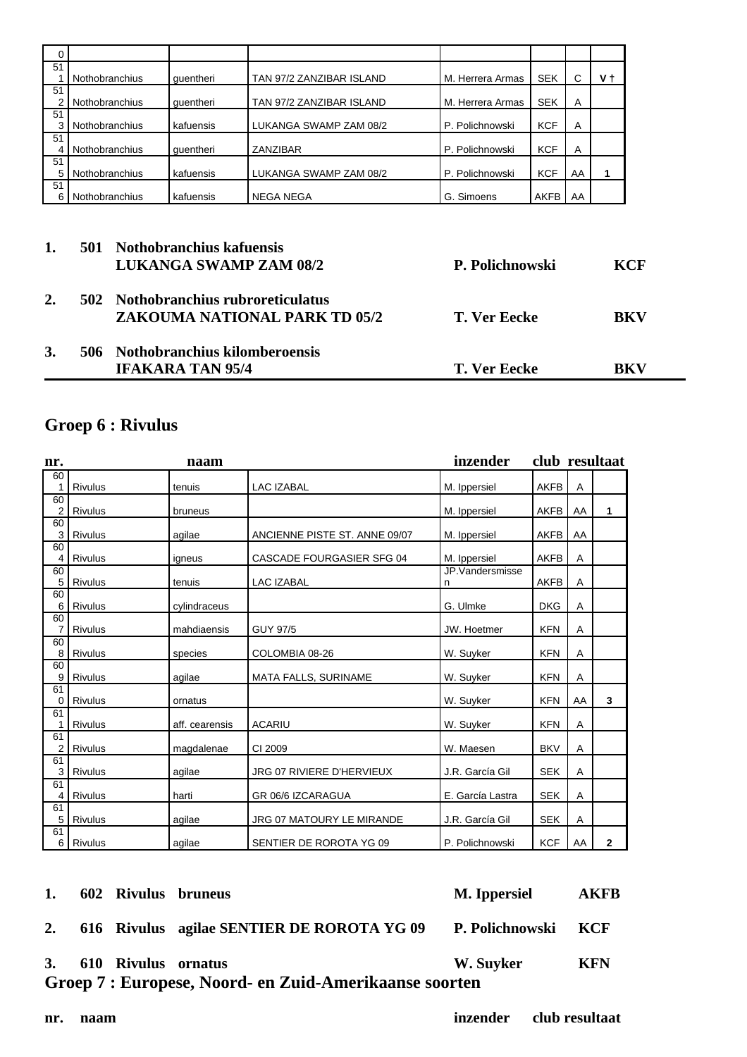| 0  |                       |           |                          |                  |            |            |     |
|----|-----------------------|-----------|--------------------------|------------------|------------|------------|-----|
| 51 |                       |           |                          |                  |            |            |     |
|    | <b>Nothobranchius</b> | quentheri | TAN 97/2 ZANZIBAR ISLAND | M. Herrera Armas | <b>SEK</b> | $\sqrt{2}$ | V t |
| 51 |                       |           |                          |                  |            |            |     |
|    | <b>Nothobranchius</b> | quentheri | TAN 97/2 ZANZIBAR ISLAND | M. Herrera Armas | <b>SEK</b> | A          |     |
| 51 |                       |           |                          |                  |            |            |     |
|    | <b>Nothobranchius</b> | kafuensis | LUKANGA SWAMP ZAM 08/2   | P. Polichnowski  | <b>KCF</b> | A          |     |
| 51 |                       |           |                          |                  |            |            |     |
| 4  | <b>Nothobranchius</b> | quentheri | ZANZIBAR                 | P. Polichnowski  | <b>KCF</b> | A          |     |
| 51 |                       |           |                          |                  |            |            |     |
| 5  | <b>Nothobranchius</b> | kafuensis | LUKANGA SWAMP ZAM 08/2   | P. Polichnowski  | <b>KCF</b> | AA         |     |
| 51 |                       |           |                          |                  |            |            |     |
| 6  | Nothobranchius        | kafuensis | <b>NEGA NEGA</b>         | G. Simoens       | AKFB       | AA         |     |

## **1. 501 Nothobranchius kafuensis LUKANGA SWAMP ZAM 08/2 P. Polichnowski KCF 2. 502 Nothobranchius rubroreticulatus ZAKOUMA NATIONAL PARK TD 05/2 T. Ver Eecke BKV 3. 506 Nothobranchius kilomberoensis IFAKARA TAN 95/4 T. Ver Eecke BKV**

## **Groep 6 : Rivulus**

| nr.                  |         | naam           |                               | inzender         | club resultaat |    |                |
|----------------------|---------|----------------|-------------------------------|------------------|----------------|----|----------------|
| 60                   |         |                |                               |                  |                |    |                |
| 1                    | Rivulus | tenuis         | <b>LAC IZABAL</b>             | M. Ippersiel     | AKFB           | Α  |                |
| 60<br>$\overline{2}$ | Rivulus | bruneus        |                               | M. Ippersiel     | AKFB           | AA | 1              |
| 60                   |         |                |                               |                  |                |    |                |
| 3                    | Rivulus | agilae         | ANCIENNE PISTE ST. ANNE 09/07 | M. Ippersiel     | <b>AKFB</b>    | AA |                |
| 60                   |         |                |                               |                  |                |    |                |
| 4                    | Rivulus | igneus         | CASCADE FOURGASIER SFG 04     | M. Ippersiel     | <b>AKFB</b>    | Α  |                |
| 60<br>5              | Rivulus | tenuis         | <b>LAC IZABAL</b>             | JP.Vandersmisse  | AKFB           | A  |                |
| 60                   |         |                |                               | n                |                |    |                |
| 6                    | Rivulus | cylindraceus   |                               | G. Ulmke         | <b>DKG</b>     | Α  |                |
| 60                   |         |                |                               |                  |                |    |                |
| $\overline{7}$       | Rivulus | mahdiaensis    | <b>GUY 97/5</b>               | JW. Hoetmer      | <b>KFN</b>     | Α  |                |
| 60                   |         |                |                               |                  |                |    |                |
| 8                    | Rivulus | species        | COLOMBIA 08-26                | W. Suyker        | <b>KFN</b>     | Α  |                |
| 60<br>9              | Rivulus | agilae         | MATA FALLS, SURINAME          | W. Suyker        | <b>KFN</b>     | A  |                |
| 61                   |         |                |                               |                  |                |    |                |
| 0                    | Rivulus | ornatus        |                               | W. Suyker        | <b>KFN</b>     | AA | 3              |
| 61                   |         |                |                               |                  |                |    |                |
| 1                    | Rivulus | aff. cearensis | <b>ACARIU</b>                 | W. Suyker        | <b>KFN</b>     | A  |                |
| 61<br>$\overline{2}$ | Rivulus | magdalenae     | CI 2009                       | W. Maesen        | <b>BKV</b>     | A  |                |
| 61                   |         |                |                               |                  |                |    |                |
| 3                    | Rivulus | agilae         | JRG 07 RIVIERE D'HERVIEUX     | J.R. García Gil  | <b>SEK</b>     | Α  |                |
| 61                   |         |                |                               |                  |                |    |                |
| 4                    | Rivulus | harti          | GR 06/6 IZCARAGUA             | E. García Lastra | <b>SEK</b>     | A  |                |
| 61<br>5              | Rivulus | agilae         | JRG 07 MATOURY LE MIRANDE     | J.R. García Gil  | <b>SEK</b>     | Α  |                |
| 61                   |         |                |                               |                  |                |    |                |
| 6                    | Rivulus | agilae         | SENTIER DE ROROTA YG 09       | P. Polichnowski  | <b>KCF</b>     | AA | $\overline{2}$ |

| Groep 7 : Europese, Noord- en Zuid-Amerikaanse soorten |  |                        |                                               |                     |            |  |  |  |  |
|--------------------------------------------------------|--|------------------------|-----------------------------------------------|---------------------|------------|--|--|--|--|
|                                                        |  | 3. 610 Rivulus ornatus |                                               | W. Suyker           | <b>KFN</b> |  |  |  |  |
|                                                        |  |                        | 2. 616 Rivulus agilae SENTIER DE ROROTA YG 09 | P. Polichnowski KCF |            |  |  |  |  |
|                                                        |  |                        | 1. 602 Rivulus bruneus                        | M. Ippersiel        | AKFB       |  |  |  |  |

**nr. naam inzender club resultaat**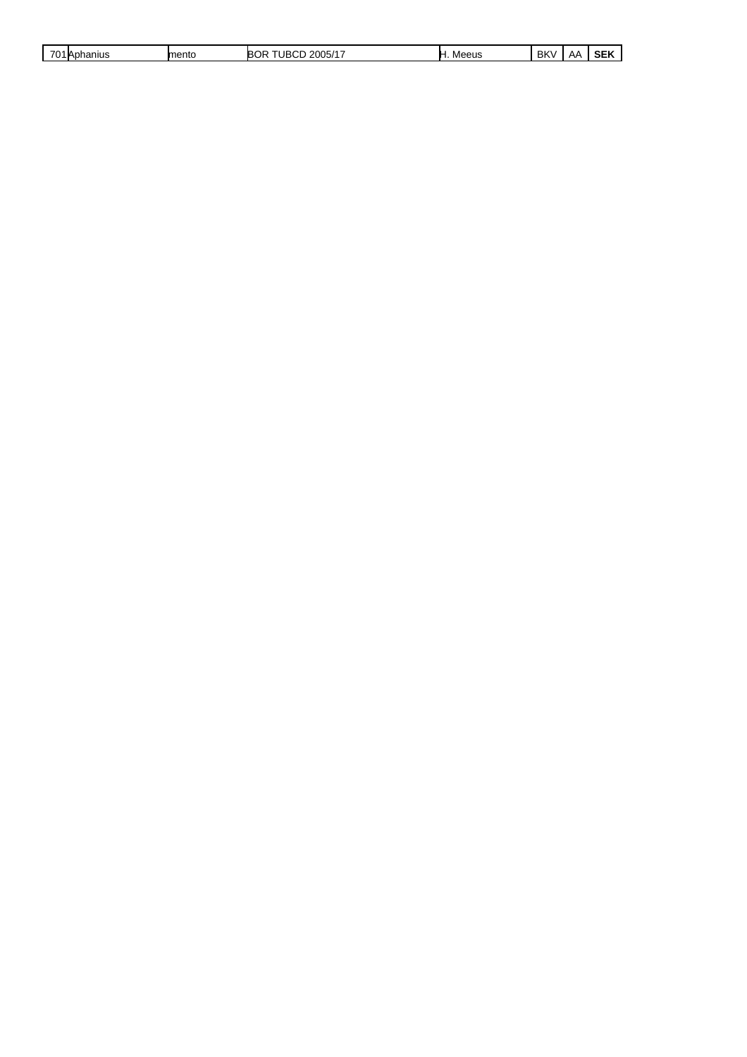| $\sim$ $\sim$ $\sim$<br>hanius<br>∆ו<br>ັ | mento | , 2005/17<br>JR(<br>IΒC<br>۱ь<br>. | או ובב<br>Mr<br>. | BK<br>л. | $\cdot$<br>$\mathbf{A}$ | ----<br>--<br>э |
|-------------------------------------------|-------|------------------------------------|-------------------|----------|-------------------------|-----------------|
|                                           |       |                                    |                   |          |                         |                 |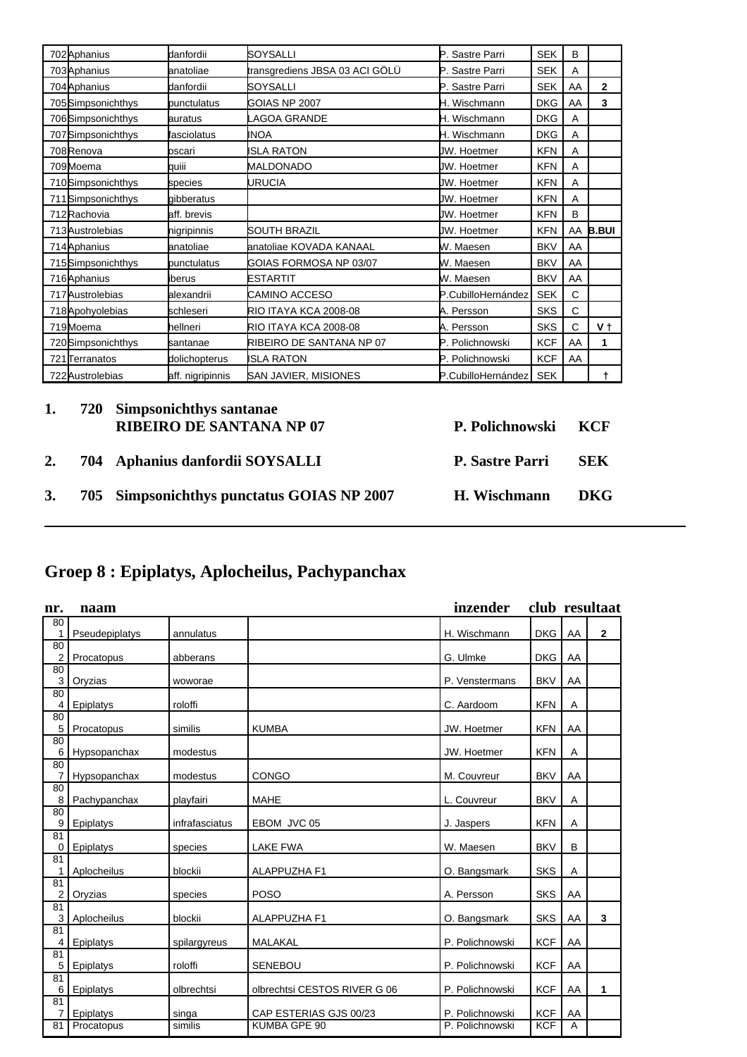| 702 Aphanius       | danfordii        | SOYSALLI                       | P. Sastre Parri     | <b>SEK</b> | B  |                |
|--------------------|------------------|--------------------------------|---------------------|------------|----|----------------|
| 703 Aphanius       | lanatoliae       | transgrediens JBSA 03 ACI GÖLÜ | P. Sastre Parri     | <b>SEK</b> | А  |                |
| 704 Aphanius       | danfordii        | ISOYSALLI                      | P. Sastre Parri     | <b>SEK</b> | AA | $\overline{2}$ |
| 705Simpsonichthys  | bunctulatus      | GOIAS NP 2007                  | H. Wischmann        | <b>DKG</b> | AA | 3              |
| 706Simpsonichthys  | lauratus         | LAGOA GRANDE                   | H. Wischmann        | <b>DKG</b> | A  |                |
| 707 Simpsonichthys | fasciolatus      | INOA                           | H. Wischmann        | <b>DKG</b> | A  |                |
| 708Renova          | loscari          | ISLA RATON                     | JW. Hoetmer         | <b>KFN</b> | A  |                |
| 709Moema           | lauiii           | <b>MALDONADO</b>               | JW. Hoetmer         | <b>KFN</b> | A  |                |
| 710Simpsonichthys  | species          | URUCIA                         | JW. Hoetmer         | <b>KFN</b> | A  |                |
| 711 Simpsonichthys | laibberatus      |                                | <b>U</b> W. Hoetmer | <b>KFN</b> | A  |                |
| 712 Rachovia       | aff. brevis      |                                | JW. Hoetmer         | <b>KFN</b> | B  |                |
| 713 Austrolebias   | higripinnis      | ISOUTH BRAZIL                  | <b>U</b> W. Hoetmer | <b>KFN</b> |    | AA B.BUI       |
| 714 Aphanius       | lanatoliae       | anatoliae KOVADA KANAAL        | W. Maesen           | <b>BKV</b> | AA |                |
| 715Simpsonichthys  | bunctulatus      | GOIAS FORMOSA NP 03/07         | W. Maesen           | <b>BKV</b> | AA |                |
| 716Aphanius        | liberus          | ESTARTIT                       | W. Maesen           | <b>BKV</b> | AA |                |
| 717 Austrolebias   | lalexandrii      | <b>ICAMINO ACCESO</b>          | P.CubilloHernández  | <b>SEK</b> | C  |                |
| 718 Apohyolebias   | lschleseri       | <b>RIO ITAYA KCA 2008-08</b>   | A. Persson          | <b>SKS</b> | C  |                |
| 719Moema           | hellneri         | <b>RIO ITAYA KCA 2008-08</b>   | A. Persson          | <b>SKS</b> | Ċ  | V t            |
| 720 Simpsonichthys | lsantanae        | RIBEIRO DE SANTANA NP 07       | P. Polichnowski     | <b>KCF</b> | AA | 1              |
| 721Terranatos      | dolichopterus    | <b>ISLA RATON</b>              | P. Polichnowski     | <b>KCF</b> | AA |                |
| 722 Austrolebias   | aff. nigripinnis | SAN JAVIER, MISIONES           | P.CubilloHernández  | <b>SEK</b> |    |                |

| 1. | 720 Simpsonichthys santanae<br><b>RIBEIRO DE SANTANA NP 07</b> | P. Polichnowski KCF    |            |
|----|----------------------------------------------------------------|------------------------|------------|
| 2. | 704 Aphanius danfordii SOYSALLI                                | <b>P. Sastre Parri</b> | <b>SEK</b> |
|    | 3. 705 Simpsonichthys punctatus GOIAS NP 2007                  | H. Wischmann           | DKG.       |
|    |                                                                |                        |            |

## **Groep 8 : Epiplatys, Aplocheilus, Pachypanchax**

| nr.     | naam           |                |                              | inzender        |            |    | club resultaat |
|---------|----------------|----------------|------------------------------|-----------------|------------|----|----------------|
| 80<br>1 | Pseudepiplatys | annulatus      |                              | H. Wischmann    | <b>DKG</b> | AA | $\mathbf{2}$   |
| 80<br>2 | Procatopus     | abberans       |                              | G. Ulmke        | <b>DKG</b> | AA |                |
| 80<br>3 | Oryzias        | woworae        |                              | P. Venstermans  | <b>BKV</b> | AA |                |
| 80<br>4 | Epiplatys      | roloffi        |                              | C. Aardoom      | <b>KFN</b> | Α  |                |
| 80<br>5 | Procatopus     | similis        | <b>KUMBA</b>                 | JW. Hoetmer     | <b>KFN</b> | AA |                |
| 80<br>6 | Hypsopanchax   | modestus       |                              | JW. Hoetmer     | <b>KFN</b> | Α  |                |
| 80<br>7 | Hypsopanchax   | modestus       | <b>CONGO</b>                 | M. Couvreur     | <b>BKV</b> | AA |                |
| 80<br>8 | Pachypanchax   | playfairi      | <b>MAHE</b>                  | L. Couvreur     | <b>BKV</b> | Α  |                |
| 80<br>9 | Epiplatys      | infrafasciatus | EBOM JVC 05                  | J. Jaspers      | <b>KFN</b> | Α  |                |
| 81<br>0 | Epiplatys      | species        | <b>LAKE FWA</b>              | W. Maesen       | <b>BKV</b> | B  |                |
| 81<br>1 | Aplocheilus    | blockii        | ALAPPUZHA F1                 | O. Bangsmark    | <b>SKS</b> | Α  |                |
| 81<br>2 | Oryzias        | species        | <b>POSO</b>                  | A. Persson      | <b>SKS</b> | AA |                |
| 81<br>3 | Aplocheilus    | blockii        | ALAPPUZHA F1                 | O. Bangsmark    | <b>SKS</b> | AA | 3              |
| 81<br>4 | Epiplatys      | spilargyreus   | MALAKAL                      | P. Polichnowski | <b>KCF</b> | AA |                |
| 81<br>5 | Epiplatys      | roloffi        | <b>SENEBOU</b>               | P. Polichnowski | <b>KCF</b> | AA |                |
| 81<br>6 | Epiplatys      | olbrechtsi     | olbrechtsi CESTOS RIVER G 06 | P. Polichnowski | <b>KCF</b> | AA | $\mathbf{1}$   |
| 81<br>7 | Epiplatys      | singa          | CAP ESTERIAS GJS 00/23       | P. Polichnowski | <b>KCF</b> | AA |                |
| 81      | Procatopus     | similis        | KUMBA GPE 90                 | P. Polichnowski | <b>KCF</b> | A  |                |